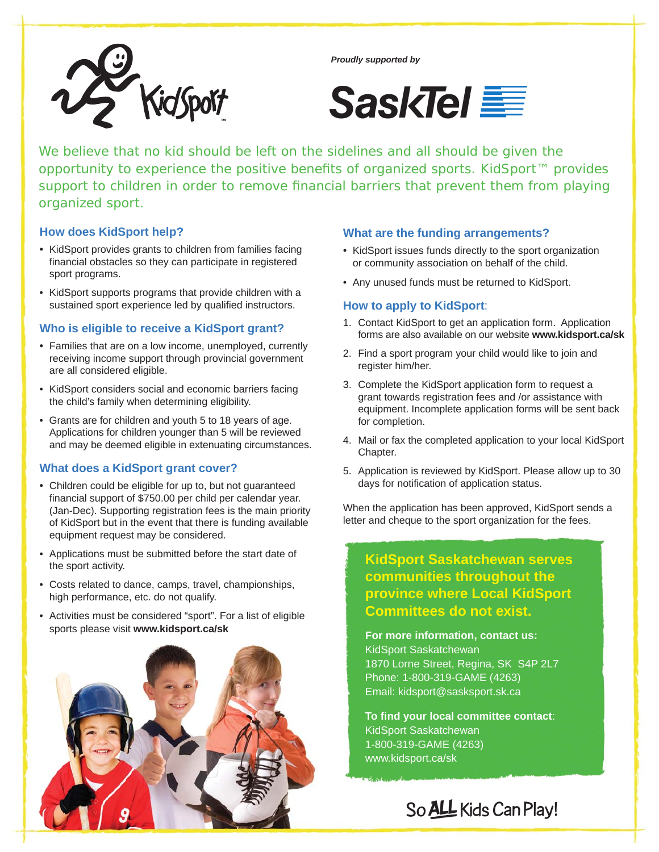

*Proudly supported by*



We believe that no kid should be left on the sidelines and all should be given the opportunity to experience the positive benefits of organized sports. KidSport<sup>™</sup> provides support to children in order to remove financial barriers that prevent them from playing organized sport.

### **How does KidSport help?**

- KidSport provides grants to children from families facing financial obstacles so they can participate in registered sport programs.
- KidSport supports programs that provide children with a sustained sport experience led by qualified instructors.

### **Who is eligible to receive a KidSport grant?**

- Families that are on a low income, unemployed, currently receiving income support through provincial government are all considered eligible.
- KidSport considers social and economic barriers facing the child's family when determining eligibility.
- Grants are for children and youth 5 to 18 years of age. Applications for children younger than 5 will be reviewed and may be deemed eligible in extenuating circumstances.

## **What does a KidSport grant cover?**

- Children could be eligible for up to, but not guaranteed financial support of \$750.00 per child per calendar year. (Jan-Dec). Supporting registration fees is the main priority of KidSport but in the event that there is funding available equipment request may be considered.
- Applications must be submitted before the start date of the sport activity.
- Costs related to dance, camps, travel, championships, high performance, etc. do not qualify.
- Activities must be considered "sport". For a list of eligible sports please visit **www.kidsport.ca/sk**



### **What are the funding arrangements?**

- KidSport issues funds directly to the sport organization or community association on behalf of the child.
- Any unused funds must be returned to KidSport.

### **How to apply to KidSport**:

- 1. Contact KidSport to get an application form. Application forms are also available on our website **www.kidsport.ca/sk**
- 2. Find a sport program your child would like to join and register him/her.
- 3. Complete the KidSport application form to request a grant towards registration fees and /or assistance with equipment. Incomplete application forms will be sent back for completion.
- 4. Mail or fax the completed application to your local KidSport Chapter.
- 5. Application is reviewed by KidSport. Please allow up to 30 days for notification of application status.

When the application has been approved, KidSport sends a letter and cheque to the sport organization for the fees.

**KidSport Saskatchewan serves communities throughout the province where Local KidSport Committees do not exist.**

**For more information, contact us:** KidSport Saskatchewan 1870 Lorne Street, Regina, SK S4P 2L7 Phone: 1-800-319-GAME (4263) Email: kidsport@sasksport.sk.ca

**To fi nd your local committee contact**: KidSport Saskatchewan 1-800-319-GAME (4263) www.kidsport.ca/sk

So ALL Kids Can Play!